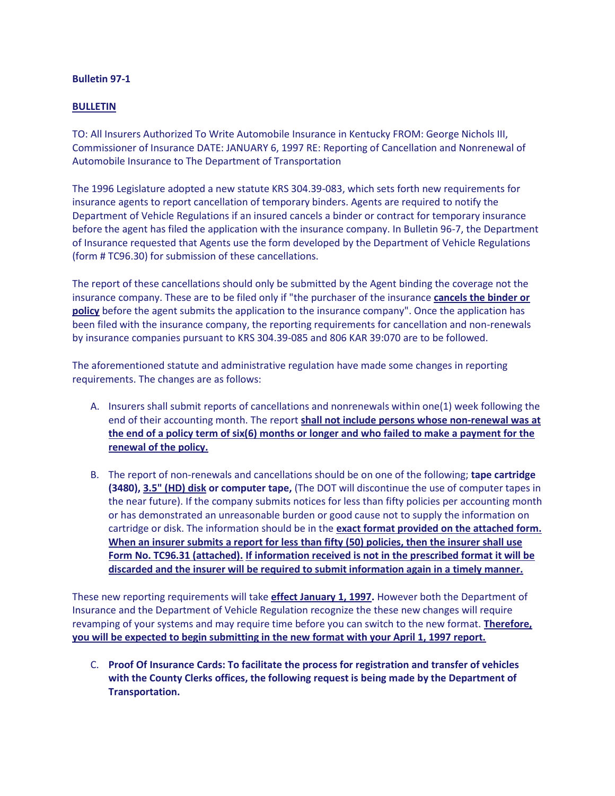## **Bulletin 97-1**

## **BULLETIN**

TO: All Insurers Authorized To Write Automobile Insurance in Kentucky FROM: George Nichols III, Commissioner of Insurance DATE: JANUARY 6, 1997 RE: Reporting of Cancellation and Nonrenewal of Automobile Insurance to The Department of Transportation

The 1996 Legislature adopted a new statute KRS 304.39-083, which sets forth new requirements for insurance agents to report cancellation of temporary binders. Agents are required to notify the Department of Vehicle Regulations if an insured cancels a binder or contract for temporary insurance before the agent has filed the application with the insurance company. In Bulletin 96-7, the Department of Insurance requested that Agents use the form developed by the Department of Vehicle Regulations (form # TC96.30) for submission of these cancellations.

The report of these cancellations should only be submitted by the Agent binding the coverage not the insurance company. These are to be filed only if "the purchaser of the insurance **cancels the binder or policy** before the agent submits the application to the insurance company". Once the application has been filed with the insurance company, the reporting requirements for cancellation and non-renewals by insurance companies pursuant to KRS 304.39-085 and 806 KAR 39:070 are to be followed.

The aforementioned statute and administrative regulation have made some changes in reporting requirements. The changes are as follows:

- A. Insurers shall submit reports of cancellations and nonrenewals within one(1) week following the end of their accounting month. The report **shall not include persons whose non-renewal was at the end of a policy term of six(6) months or longer and who failed to make a payment for the renewal of the policy.**
- B. The report of non-renewals and cancellations should be on one of the following; **tape cartridge (3480), 3.5" (HD) disk or computer tape,** (The DOT will discontinue the use of computer tapes in the near future). If the company submits notices for less than fifty policies per accounting month or has demonstrated an unreasonable burden or good cause not to supply the information on cartridge or disk. The information should be in the **exact format provided on the attached form. When an insurer submits a report for less than fifty (50) policies, then the insurer shall use Form No. TC96.31 (attached). If information received is not in the prescribed format it will be discarded and the insurer will be required to submit information again in a timely manner.**

These new reporting requirements will take **effect January 1, 1997.** However both the Department of Insurance and the Department of Vehicle Regulation recognize the these new changes will require revamping of your systems and may require time before you can switch to the new format. **Therefore, you will be expected to begin submitting in the new format with your April 1, 1997 report.**

C. **Proof Of Insurance Cards: To facilitate the process for registration and transfer of vehicles with the County Clerks offices, the following request is being made by the Department of Transportation.**